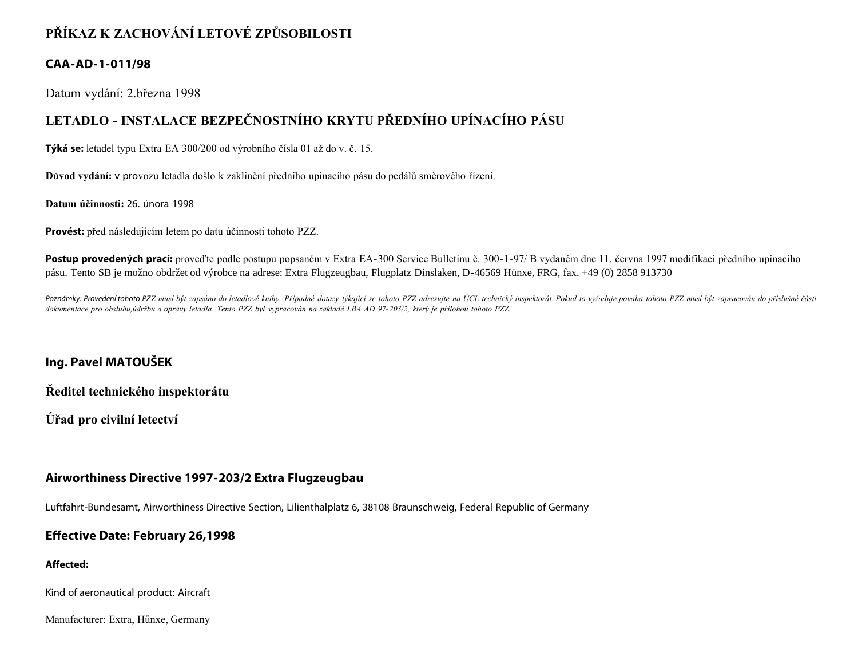# **PŘÍKAZ K ZACHOVÁNÍ LETOVÉ ZPŮSOBILOSTI**

## **CAA-AD-1-011/98**

Datum vydání: 2.března 1998

# **LETADLO - INSTALACE BEZPEČNOSTNÍHO KRYTU PŘEDNÍHO UPÍNACÍHO PÁSU**

**Týká se:** letadel typu Extra EA 300/200 od výrobního čísla 01 až do v. č. 15.

**Důvod vydání:** v provozu letadla došlo k zaklínění předního upínacího pásu do pedálů směrového řízení.

**Datum účinnosti:** 26. února 1998

**Provést:** před následujícím letem po datu účinnosti tohoto PZZ.

**Postup provedených prací:** proveďte podle postupu popsaném v Extra EA-300 Service Bulletinu č. 300-1-97/ B vydaném dne 11. června 1997 modifikaci předního upínacího pásu. Tento SB je možno obdržet od výrobce na adrese: Extra Flugzeugbau, Flugplatz Dinslaken, D-46569 Hünxe, FRG, fax. +49 (0) 2858 913730

Poznámky: Provedení tohoto PZZ musí být zapsáno do letadlové knihy. Případné dotazy týkající se tohoto PZZ adresujte na ÚCL technický inspektorát. Pokud to vyžaduje povaha tohoto PZZ musí být zapracován do příslušné části *dokumentace pro obsluhu,údržbu a opravy letadla. Tento PZZ byl vypracován na základě LBA AD 97-203/2, který je přílohou tohoto PZZ.*

## **Ing. Pavel MATOUŠEK**

**Ředitel technického inspektorátu**

**Úřad pro civilní letectví**

### **Airworthiness Directive 1997-203/2 Extra Flugzeugbau**

Luftfahrt-Bundesamt, Airworthiness Directive Section, Lilienthalplatz 6, 38108 Braunschweig, Federal Republic of Germany

### **Effective Date: February 26,1998**

#### **Affected:**

Kind of aeronautical product: Aircraft

Manufacturer: Extra, Hűnxe, Germany